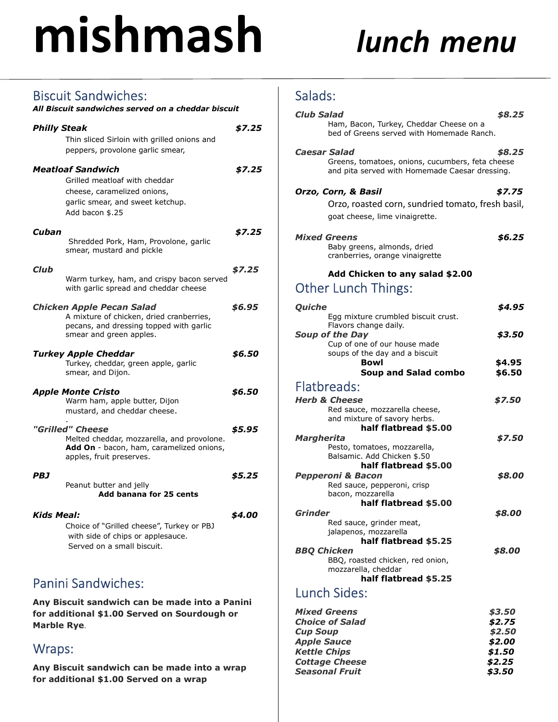# mishmash lunch menu

### Biscuit Sandwiches:

All Biscuit sandwiches served on a cheddar biscuit

| <b>Philly Steak</b> | Thin sliced Sirloin with grilled onions and<br>peppers, provolone garlic smear,                                                                    | \$7.25 |
|---------------------|----------------------------------------------------------------------------------------------------------------------------------------------------|--------|
|                     | <b>Meatloaf Sandwich</b><br>Grilled meatloaf with cheddar<br>cheese, caramelized onions,<br>garlic smear, and sweet ketchup.<br>Add bacon \$.25    | \$7.25 |
| Cuban               | Shredded Pork, Ham, Provolone, garlic<br>smear, mustard and pickle                                                                                 | \$7.25 |
| Club                | Warm turkey, ham, and crispy bacon served<br>with garlic spread and cheddar cheese                                                                 | \$7.25 |
|                     | <b>Chicken Apple Pecan Salad</b><br>A mixture of chicken, dried cranberries,<br>pecans, and dressing topped with garlic<br>smear and green apples. | \$6.95 |
|                     | <b>Turkey Apple Cheddar</b><br>Turkey, cheddar, green apple, garlic<br>smear, and Dijon.                                                           | \$6.50 |
|                     | <b>Apple Monte Cristo</b><br>Warm ham, apple butter, Dijon<br>mustard, and cheddar cheese.                                                         | \$6.50 |
|                     | "Grilled" Cheese<br>Melted cheddar, mozzarella, and provolone.<br>Add On - bacon, ham, caramelized onions,<br>apples, fruit preserves.             | \$5.95 |
| PBJ                 | Peanut butter and jelly<br>Add banana for 25 cents                                                                                                 | \$5.25 |
| <b>Kids Meal:</b>   | Choice of "Grilled cheese", Turkey or PBJ<br>with side of chips or applesauce.<br>Served on a small biscuit.                                       | \$4.00 |

## Panini Sandwiches:

Any Biscuit sandwich can be made into a Panini for additional \$1.00 Served on Sourdough or Marble Rye.

### Wraps:

Any Biscuit sandwich can be made into a wrap for additional \$1.00 Served on a wrap

### Salads:

| <b>Club Salad</b><br>Ham, Bacon, Turkey, Cheddar Cheese on a<br>bed of Greens served with Homemade Ranch.          | \$8,25           |
|--------------------------------------------------------------------------------------------------------------------|------------------|
| Caesar Salad<br>Greens, tomatoes, onions, cucumbers, feta cheese<br>and pita served with Homemade Caesar dressing. | \$8.25           |
| Orzo, Corn, & Basil                                                                                                | \$7.75           |
| Orzo, roasted corn, sundried tomato, fresh basil,<br>goat cheese, lime vinaigrette.                                |                  |
| <b>Mixed Greens</b><br>Baby greens, almonds, dried<br>cranberries, orange vinaigrette                              | \$6.25           |
| Add Chicken to any salad \$2.00                                                                                    |                  |
| <b>Other Lunch Things:</b>                                                                                         |                  |
| Quiche                                                                                                             | \$4,95           |
| Egg mixture crumbled biscuit crust.<br>Flavors change daily.                                                       |                  |
| <b>Soup of the Day</b><br>Cup of one of our house made                                                             | \$3.50           |
| soups of the day and a biscuit                                                                                     |                  |
| Bowl<br>Soup and Salad combo                                                                                       | \$4.95<br>\$6.50 |
|                                                                                                                    |                  |
|                                                                                                                    |                  |
| Flatbreads:                                                                                                        |                  |
| <b>Herb &amp; Cheese</b><br>Red sauce, mozzarella cheese,                                                          | \$7.50           |
| and mixture of savory herbs.<br>half flatbread \$5.00                                                              |                  |
| <b>Margherita</b>                                                                                                  | \$7.50           |
| Pesto, tomatoes, mozzarella,<br>Balsamic. Add Chicken \$.50                                                        |                  |
| half flatbread \$5.00                                                                                              |                  |
| Pepperoni & Bacon<br>Red sauce, pepperoni, crisp                                                                   | \$8.00           |
| bacon, mozzarella                                                                                                  |                  |
| half flatbread \$5.00<br>Grinder                                                                                   | \$8.00           |
| Red sauce, grinder meat,                                                                                           |                  |
| jalapenos, mozzarella<br>half flatbread \$5.25                                                                     |                  |
| <b>BBQ Chicken</b>                                                                                                 | \$8,00           |
| BBQ, roasted chicken, red onion,<br>mozzarella, cheddar                                                            |                  |
| half flatbread \$5.25                                                                                              |                  |
| <b>Lunch Sides:</b>                                                                                                | \$3.50           |

| <b>Mixed Greens</b>    | \$3,50 |
|------------------------|--------|
| <b>Choice of Salad</b> | \$2.75 |
| <b>Cup Soup</b>        | \$2,50 |
| <b>Apple Sauce</b>     | \$2.00 |
| <b>Kettle Chips</b>    | \$1,50 |
| <b>Cottage Cheese</b>  | \$2.25 |
| <b>Seasonal Fruit</b>  | \$3,50 |